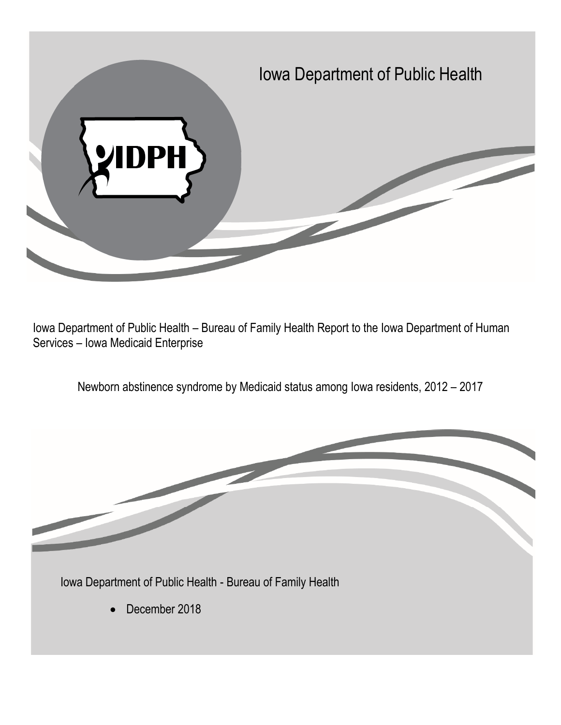

Iowa Department of Public Health – Bureau of Family Health Report to the Iowa Department of Human Services – Iowa Medicaid Enterprise

Newborn abstinence syndrome by Medicaid status among Iowa residents, 2012 – 2017

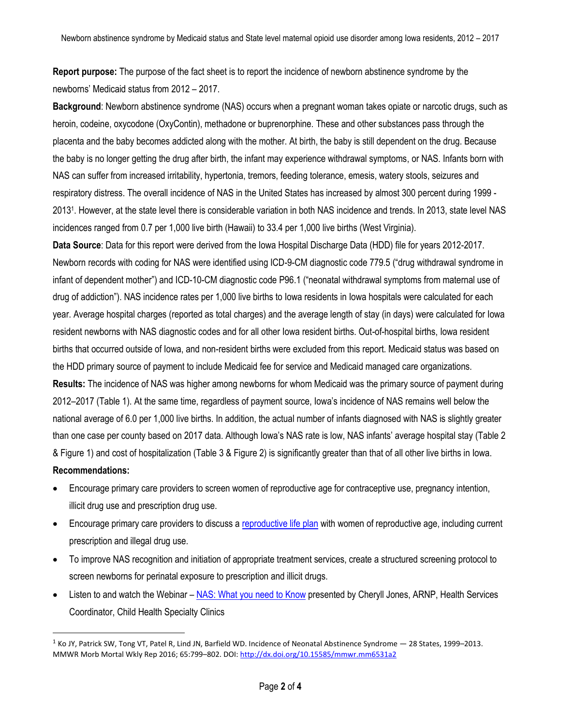**Report purpose:** The purpose of the fact sheet is to report the incidence of newborn abstinence syndrome by the newborns' Medicaid status from 2012 – 2017.

**Background**: Newborn abstinence syndrome (NAS) occurs when a pregnant woman takes opiate or narcotic drugs, such as heroin, codeine, oxycodone (OxyContin), methadone or buprenorphine. These and other substances pass through the placenta and the baby becomes addicted along with the mother. At birth, the baby is still dependent on the drug. Because the baby is no longer getting the drug after birth, the infant may experience withdrawal symptoms, or NAS. Infants born with NAS can suffer from increased irritability, hypertonia, tremors, feeding tolerance, emesis, watery stools, seizures and respiratory distress. The overall incidence of NAS in the United States has increased by almost 300 percent during 1999 - 2013<sup>1</sup> . However, at the state level there is considerable variation in both NAS incidence and trends. In 2013, state level NAS incidences ranged from 0.7 per 1,000 live birth (Hawaii) to 33.4 per 1,000 live births (West Virginia).

**Data Source**: Data for this report were derived from the Iowa Hospital Discharge Data (HDD) file for years 2012-2017. Newborn records with coding for NAS were identified using ICD-9-CM diagnostic code 779.5 ("drug withdrawal syndrome in infant of dependent mother") and ICD-10-CM diagnostic code P96.1 ("neonatal withdrawal symptoms from maternal use of drug of addiction"). NAS incidence rates per 1,000 live births to Iowa residents in Iowa hospitals were calculated for each year. Average hospital charges (reported as total charges) and the average length of stay (in days) were calculated for Iowa resident newborns with NAS diagnostic codes and for all other Iowa resident births. Out-of-hospital births, Iowa resident births that occurred outside of Iowa, and non-resident births were excluded from this report. Medicaid status was based on the HDD primary source of payment to include Medicaid fee for service and Medicaid managed care organizations. **Results:** The incidence of NAS was higher among newborns for whom Medicaid was the primary source of payment during 2012–2017 (Table 1). At the same time, regardless of payment source, Iowa's incidence of NAS remains well below the national average of 6.0 per 1,000 live births. In addition, the actual number of infants diagnosed with NAS is slightly greater than one case per county based on 2017 data. Although Iowa's NAS rate is low, NAS infants' average hospital stay (Table 2 & Figure 1) and cost of hospitalization (Table 3 & Figure 2) is significantly greater than that of all other live births in Iowa. **Recommendations:**

- Encourage primary care providers to screen women of reproductive age for contraceptive use, pregnancy intention, illicit drug use and prescription drug use.
- Encourage primary care providers to discuss a [reproductive life plan](https://www.hhs.gov/opa/title-x-family-planning/preventive-services/preconception-health-and-reproductive-life-plan/index.html) with women of reproductive age, including current prescription and illegal drug use.
- To improve NAS recognition and initiation of appropriate treatment services, create a structured screening protocol to screen newborns for perinatal exposure to prescription and illicit drugs.
- Listen to and watch the Webinar [NAS: What you need to Know](https://register.gotowebinar.com/recording/4209803917548482306?assets=true) presented by Cheryll Jones, ARNP, Health Services Coordinator, Child Health Specialty Clinics

 $\overline{a}$ 

 $1$  Ko JY, Patrick SW, Tong VT, Patel R, Lind JN, Barfield WD. Incidence of Neonatal Abstinence Syndrome  $-$  28 States, 1999–2013. MMWR Morb Mortal Wkly Rep 2016; 65:799–802. DOI[: http://dx.doi.org/10.15585/mmwr.mm6531a2](http://dx.doi.org/10.15585/mmwr.mm6531a2)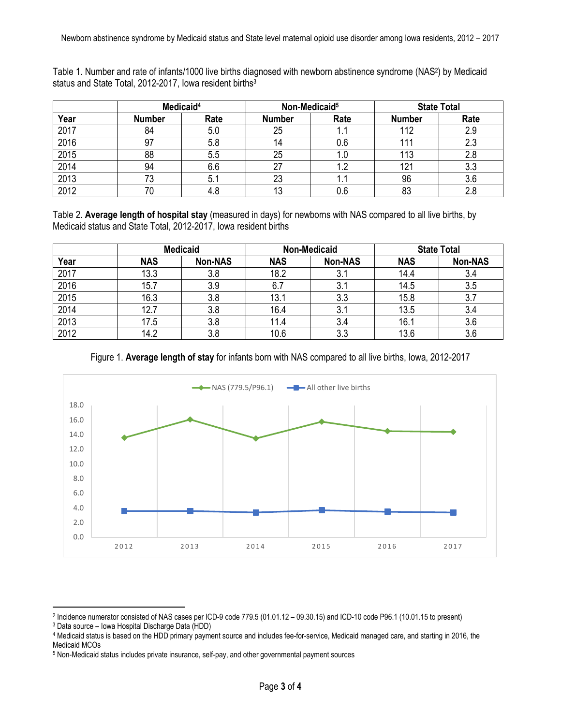| Table 1. Number and rate of infants/1000 live births diagnosed with newborn abstinence syndrome (NAS <sup>2</sup> ) by Medicaid |  |
|---------------------------------------------------------------------------------------------------------------------------------|--|
| status and State Total, 2012-2017, Iowa resident births <sup>3</sup>                                                            |  |

|      | Medicaid <sup>4</sup> |      | Non-Medicaid <sup>5</sup> |       | <b>State Total</b> |      |
|------|-----------------------|------|---------------------------|-------|--------------------|------|
| Year | <b>Number</b>         | Rate | <b>Number</b>             | Rate  | <b>Number</b>      | Rate |
| 2017 | 84                    | 5.0  | 25                        | ا ۱۰  | 112                | 2.9  |
| 2016 | 97                    | 5.8  |                           | 0.6   |                    | 2.3  |
| 2015 | 88                    | 5.5  | 25                        | 1.U   | 113                |      |
| 2014 | 94                    | 6.6  | 27                        | 1.2   | 121                | 3.3  |
| 2013 | 73                    | 5.1  | 23                        | 1 . I | 96                 | 3.6  |
| 2012 |                       | 4.8  | 13                        | 0.6   | 83                 | 2.8  |

Table 2. **Average length of hospital stay** (measured in days) for newborns with NAS compared to all live births, by Medicaid status and State Total, 2012-2017, Iowa resident births

|      | <b>Medicaid</b> |                | <b>Non-Medicaid</b> |                | <b>State Total</b> |                |
|------|-----------------|----------------|---------------------|----------------|--------------------|----------------|
| Year | <b>NAS</b>      | <b>Non-NAS</b> | <b>NAS</b>          | <b>Non-NAS</b> | <b>NAS</b>         | <b>Non-NAS</b> |
| 2017 | 13.3            | 3.8            | 18.2                | ا . ا          | 14.4               | 3.4            |
| 2016 | 15.7            | 3.9            | 6.7                 | 3.1            | 14.5               | 3.5            |
| 2015 | 16.3            | 3.8            | 13.1                | 3.3            | 15.8               | 3.7            |
| 2014 | 12.7            | 3.8            | 16.4                | 3.1            | 13.5               | 3.4            |
| 2013 | 17.5            | 3.8            | 11.4                | 3.4            | 16.1               | 3.6            |
| 2012 | 14.2            | 3.8            | 10.6                | 3.3            | 13.6               | 3.6            |

Figure 1. **Average length of stay** for infants born with NAS compared to all live births, Iowa, 2012-2017



 $\ddot{\phantom{a}}$ 

<sup>2</sup> Incidence numerator consisted of NAS cases per ICD-9 code 779.5 (01.01.12 – 09.30.15) and ICD-10 code P96.1 (10.01.15 to present)

<sup>3</sup> Data source – Iowa Hospital Discharge Data (HDD)

<sup>4</sup> Medicaid status is based on the HDD primary payment source and includes fee-for-service, Medicaid managed care, and starting in 2016, the Medicaid MCOs

<sup>5</sup> Non-Medicaid status includes private insurance, self-pay, and other governmental payment sources